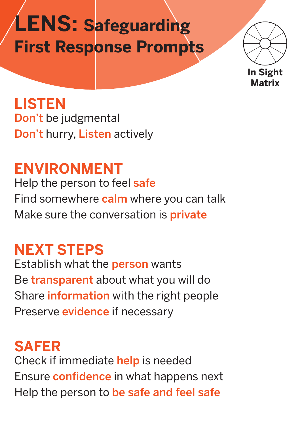# **LENS: Safeguarding First Response Prompts**



**LISTEN** Don't be judgmental Don't hurry, Listen actively

**ENVIRONMENT** Help the person to feel safe Find somewhere calm where you can talk Make sure the conversation is **private** 

#### **NEXT STEPS**

Establish what the person wants Be **transparent** about what you will do Share **information** with the right people Preserve **evidence** if necessary

**SAFER**  Check if immediate help is needed Ensure **confidence** in what happens next Help the person to be safe and feel safe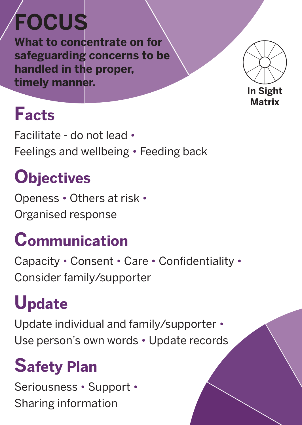# **FOCUS**

**What to concentrate on for safeguarding concerns to be handled in the proper, timely manner.** 



### **Facts**

Facilitate - do not lead • Feelings and wellbeing • Feeding back

### **Objectives**

Openess • Others at risk • Organised response

# **Communication**

Capacity • Consent • Care • Confidentiality • Consider family/supporter

## **Update**

Update individual and family/supporter • Use person's own words • Update records

# **Safety Plan**

Seriousness • Support • Sharing information